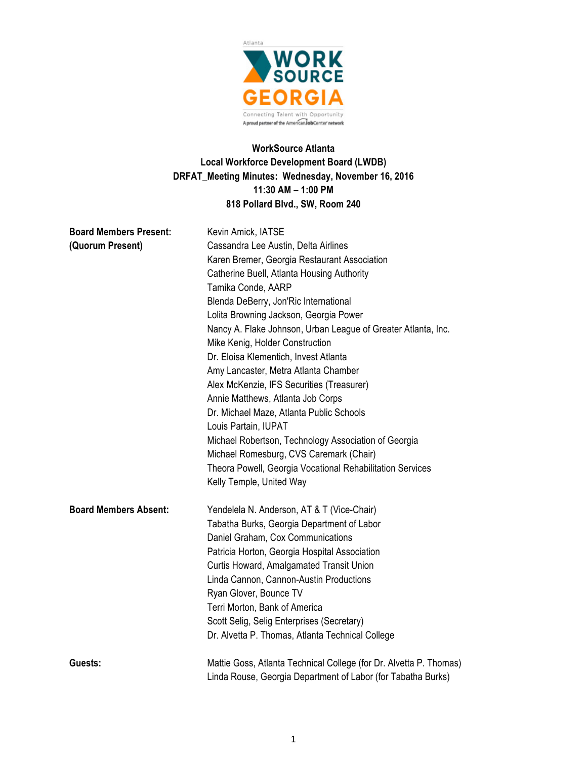

# **WorkSource Atlanta Local Workforce Development Board (LWDB) DRFAT\_Meeting Minutes: Wednesday, November 16, 2016 11:30 AM – 1:00 PM 818 Pollard Blvd., SW, Room 240**

| <b>Board Members Present:</b> | Kevin Amick, IATSE                                                                                                                                  |  |  |  |
|-------------------------------|-----------------------------------------------------------------------------------------------------------------------------------------------------|--|--|--|
| (Quorum Present)              | Cassandra Lee Austin, Delta Airlines                                                                                                                |  |  |  |
|                               | Karen Bremer, Georgia Restaurant Association                                                                                                        |  |  |  |
|                               | Catherine Buell, Atlanta Housing Authority<br>Tamika Conde, AARP<br>Blenda DeBerry, Jon'Ric International<br>Lolita Browning Jackson, Georgia Power |  |  |  |
|                               |                                                                                                                                                     |  |  |  |
|                               |                                                                                                                                                     |  |  |  |
|                               |                                                                                                                                                     |  |  |  |
|                               | Nancy A. Flake Johnson, Urban League of Greater Atlanta, Inc.                                                                                       |  |  |  |
|                               | Mike Kenig, Holder Construction                                                                                                                     |  |  |  |
|                               | Dr. Eloisa Klementich, Invest Atlanta                                                                                                               |  |  |  |
|                               | Amy Lancaster, Metra Atlanta Chamber                                                                                                                |  |  |  |
|                               | Alex McKenzie, IFS Securities (Treasurer)                                                                                                           |  |  |  |
|                               | Annie Matthews, Atlanta Job Corps                                                                                                                   |  |  |  |
|                               | Dr. Michael Maze, Atlanta Public Schools                                                                                                            |  |  |  |
|                               | Louis Partain, IUPAT                                                                                                                                |  |  |  |
|                               | Michael Robertson, Technology Association of Georgia                                                                                                |  |  |  |
|                               | Michael Romesburg, CVS Caremark (Chair)                                                                                                             |  |  |  |
|                               | Theora Powell, Georgia Vocational Rehabilitation Services                                                                                           |  |  |  |
|                               | Kelly Temple, United Way                                                                                                                            |  |  |  |
| <b>Board Members Absent:</b>  | Yendelela N. Anderson, AT & T (Vice-Chair)                                                                                                          |  |  |  |
|                               | Tabatha Burks, Georgia Department of Labor                                                                                                          |  |  |  |
|                               | Daniel Graham, Cox Communications                                                                                                                   |  |  |  |
|                               | Patricia Horton, Georgia Hospital Association                                                                                                       |  |  |  |
|                               | Curtis Howard, Amalgamated Transit Union                                                                                                            |  |  |  |
|                               | Linda Cannon, Cannon-Austin Productions                                                                                                             |  |  |  |
|                               | Ryan Glover, Bounce TV                                                                                                                              |  |  |  |
|                               | Terri Morton, Bank of America                                                                                                                       |  |  |  |
|                               | Scott Selig, Selig Enterprises (Secretary)                                                                                                          |  |  |  |
|                               | Dr. Alvetta P. Thomas, Atlanta Technical College                                                                                                    |  |  |  |
| Guests:                       | Mattie Goss, Atlanta Technical College (for Dr. Alvetta P. Thomas)                                                                                  |  |  |  |
|                               | Linda Rouse, Georgia Department of Labor (for Tabatha Burks)                                                                                        |  |  |  |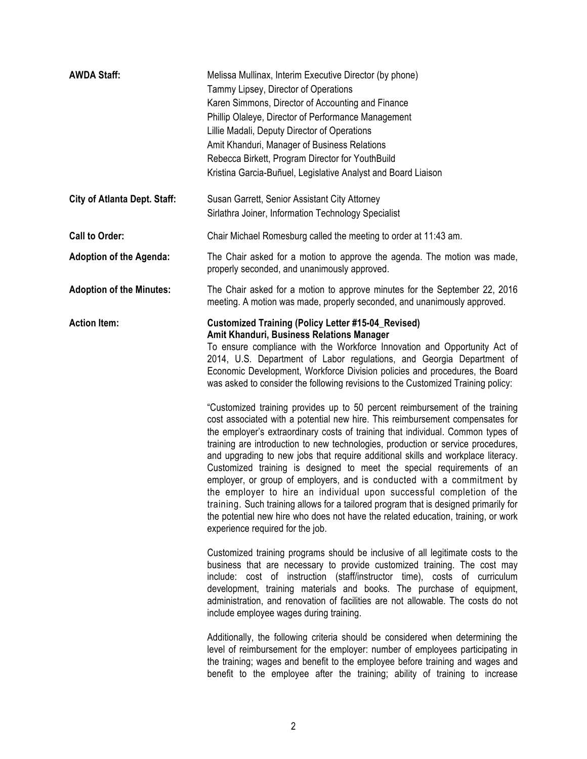| <b>AWDA Staff:</b>                  | Melissa Mullinax, Interim Executive Director (by phone)<br>Tammy Lipsey, Director of Operations<br>Karen Simmons, Director of Accounting and Finance<br>Phillip Olaleye, Director of Performance Management<br>Lillie Madali, Deputy Director of Operations<br>Amit Khanduri, Manager of Business Relations<br>Rebecca Birkett, Program Director for YouthBuild<br>Kristina Garcia-Buñuel, Legislative Analyst and Board Liaison                                                                                                                                                                                                                                                                                                                                                                                                                                                                                                                                                                                                                                                                                                                                                                                                                                                                         |
|-------------------------------------|----------------------------------------------------------------------------------------------------------------------------------------------------------------------------------------------------------------------------------------------------------------------------------------------------------------------------------------------------------------------------------------------------------------------------------------------------------------------------------------------------------------------------------------------------------------------------------------------------------------------------------------------------------------------------------------------------------------------------------------------------------------------------------------------------------------------------------------------------------------------------------------------------------------------------------------------------------------------------------------------------------------------------------------------------------------------------------------------------------------------------------------------------------------------------------------------------------------------------------------------------------------------------------------------------------|
| <b>City of Atlanta Dept. Staff:</b> | Susan Garrett, Senior Assistant City Attorney<br>Sirlathra Joiner, Information Technology Specialist                                                                                                                                                                                                                                                                                                                                                                                                                                                                                                                                                                                                                                                                                                                                                                                                                                                                                                                                                                                                                                                                                                                                                                                                     |
| <b>Call to Order:</b>               | Chair Michael Romesburg called the meeting to order at 11:43 am.                                                                                                                                                                                                                                                                                                                                                                                                                                                                                                                                                                                                                                                                                                                                                                                                                                                                                                                                                                                                                                                                                                                                                                                                                                         |
| <b>Adoption of the Agenda:</b>      | The Chair asked for a motion to approve the agenda. The motion was made,<br>properly seconded, and unanimously approved.                                                                                                                                                                                                                                                                                                                                                                                                                                                                                                                                                                                                                                                                                                                                                                                                                                                                                                                                                                                                                                                                                                                                                                                 |
| <b>Adoption of the Minutes:</b>     | The Chair asked for a motion to approve minutes for the September 22, 2016<br>meeting. A motion was made, properly seconded, and unanimously approved.                                                                                                                                                                                                                                                                                                                                                                                                                                                                                                                                                                                                                                                                                                                                                                                                                                                                                                                                                                                                                                                                                                                                                   |
| <b>Action Item:</b>                 | <b>Customized Training (Policy Letter #15-04_Revised)</b><br>Amit Khanduri, Business Relations Manager<br>To ensure compliance with the Workforce Innovation and Opportunity Act of<br>2014, U.S. Department of Labor regulations, and Georgia Department of<br>Economic Development, Workforce Division policies and procedures, the Board<br>was asked to consider the following revisions to the Customized Training policy:<br>"Customized training provides up to 50 percent reimbursement of the training<br>cost associated with a potential new hire. This reimbursement compensates for<br>the employer's extraordinary costs of training that individual. Common types of<br>training are introduction to new technologies, production or service procedures,<br>and upgrading to new jobs that require additional skills and workplace literacy.<br>Customized training is designed to meet the special requirements of an<br>employer, or group of employers, and is conducted with a commitment by<br>the employer to hire an individual upon successful completion of the<br>training. Such training allows for a tailored program that is designed primarily for<br>the potential new hire who does not have the related education, training, or work<br>experience required for the job. |
|                                     | Customized training programs should be inclusive of all legitimate costs to the<br>business that are necessary to provide customized training. The cost may<br>include: cost of instruction (staff/instructor time), costs of curriculum<br>development, training materials and books. The purchase of equipment,<br>administration, and renovation of facilities are not allowable. The costs do not<br>include employee wages during training.                                                                                                                                                                                                                                                                                                                                                                                                                                                                                                                                                                                                                                                                                                                                                                                                                                                         |
|                                     | Additionally, the following criteria should be considered when determining the<br>level of reimbursement for the employer: number of employees participating in<br>the training; wages and benefit to the employee before training and wages and<br>benefit to the employee after the training; ability of training to increase                                                                                                                                                                                                                                                                                                                                                                                                                                                                                                                                                                                                                                                                                                                                                                                                                                                                                                                                                                          |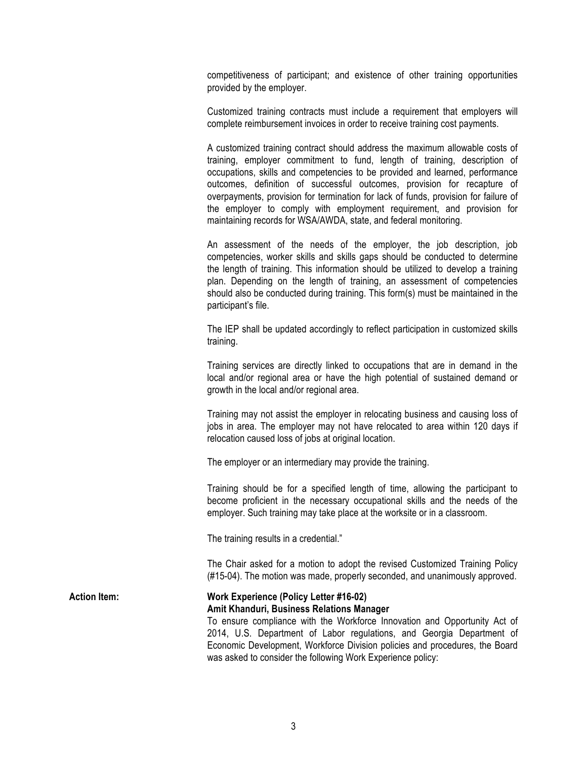competitiveness of participant; and existence of other training opportunities provided by the employer.

Customized training contracts must include a requirement that employers will complete reimbursement invoices in order to receive training cost payments.

A customized training contract should address the maximum allowable costs of training, employer commitment to fund, length of training, description of occupations, skills and competencies to be provided and learned, performance outcomes, definition of successful outcomes, provision for recapture of overpayments, provision for termination for lack of funds, provision for failure of the employer to comply with employment requirement, and provision for maintaining records for WSA/AWDA, state, and federal monitoring.

An assessment of the needs of the employer, the job description, job competencies, worker skills and skills gaps should be conducted to determine the length of training. This information should be utilized to develop a training plan. Depending on the length of training, an assessment of competencies should also be conducted during training. This form(s) must be maintained in the participant's file.

The IEP shall be updated accordingly to reflect participation in customized skills training.

Training services are directly linked to occupations that are in demand in the local and/or regional area or have the high potential of sustained demand or growth in the local and/or regional area.

Training may not assist the employer in relocating business and causing loss of jobs in area. The employer may not have relocated to area within 120 days if relocation caused loss of jobs at original location.

The employer or an intermediary may provide the training.

Training should be for a specified length of time, allowing the participant to become proficient in the necessary occupational skills and the needs of the employer. Such training may take place at the worksite or in a classroom.

The training results in a credential."

The Chair asked for a motion to adopt the revised Customized Training Policy (#15-04). The motion was made, properly seconded, and unanimously approved.

## **Action Item: Work Experience (Policy Letter #16-02) Amit Khanduri, Business Relations Manager**

To ensure compliance with the Workforce Innovation and Opportunity Act of 2014, U.S. Department of Labor regulations, and Georgia Department of Economic Development, Workforce Division policies and procedures, the Board was asked to consider the following Work Experience policy: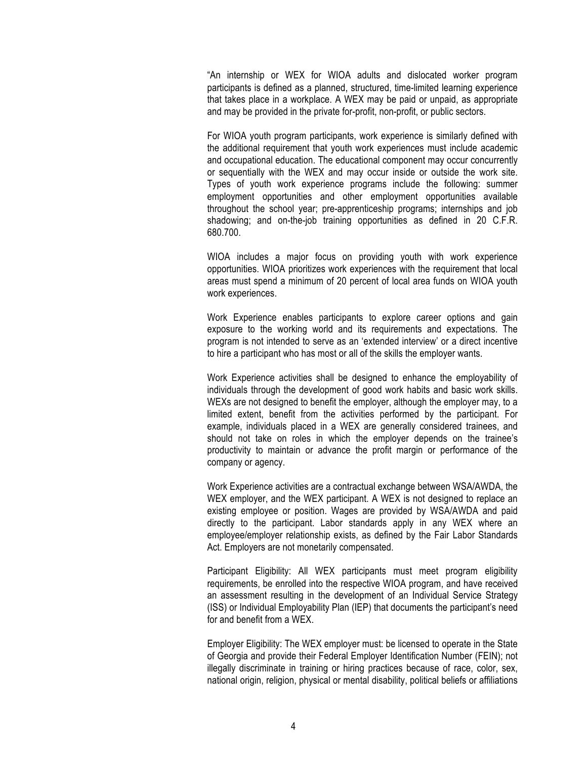"An internship or WEX for WIOA adults and dislocated worker program participants is defined as a planned, structured, time-limited learning experience that takes place in a workplace. A WEX may be paid or unpaid, as appropriate and may be provided in the private for-profit, non-profit, or public sectors.

For WIOA youth program participants, work experience is similarly defined with the additional requirement that youth work experiences must include academic and occupational education. The educational component may occur concurrently or sequentially with the WEX and may occur inside or outside the work site. Types of youth work experience programs include the following: summer employment opportunities and other employment opportunities available throughout the school year; pre-apprenticeship programs; internships and job shadowing; and on-the-job training opportunities as defined in 20 C.F.R. 680.700.

WIOA includes a major focus on providing youth with work experience opportunities. WIOA prioritizes work experiences with the requirement that local areas must spend a minimum of 20 percent of local area funds on WIOA youth work experiences.

Work Experience enables participants to explore career options and gain exposure to the working world and its requirements and expectations. The program is not intended to serve as an 'extended interview' or a direct incentive to hire a participant who has most or all of the skills the employer wants.

Work Experience activities shall be designed to enhance the employability of individuals through the development of good work habits and basic work skills. WEXs are not designed to benefit the employer, although the employer may, to a limited extent, benefit from the activities performed by the participant. For example, individuals placed in a WEX are generally considered trainees, and should not take on roles in which the employer depends on the trainee's productivity to maintain or advance the profit margin or performance of the company or agency.

Work Experience activities are a contractual exchange between WSA/AWDA, the WEX employer, and the WEX participant. A WEX is not designed to replace an existing employee or position. Wages are provided by WSA/AWDA and paid directly to the participant. Labor standards apply in any WEX where an employee/employer relationship exists, as defined by the Fair Labor Standards Act. Employers are not monetarily compensated.

Participant Eligibility: All WEX participants must meet program eligibility requirements, be enrolled into the respective WIOA program, and have received an assessment resulting in the development of an Individual Service Strategy (ISS) or Individual Employability Plan (IEP) that documents the participant's need for and benefit from a WEX.

Employer Eligibility: The WEX employer must: be licensed to operate in the State of Georgia and provide their Federal Employer Identification Number (FEIN); not illegally discriminate in training or hiring practices because of race, color, sex, national origin, religion, physical or mental disability, political beliefs or affiliations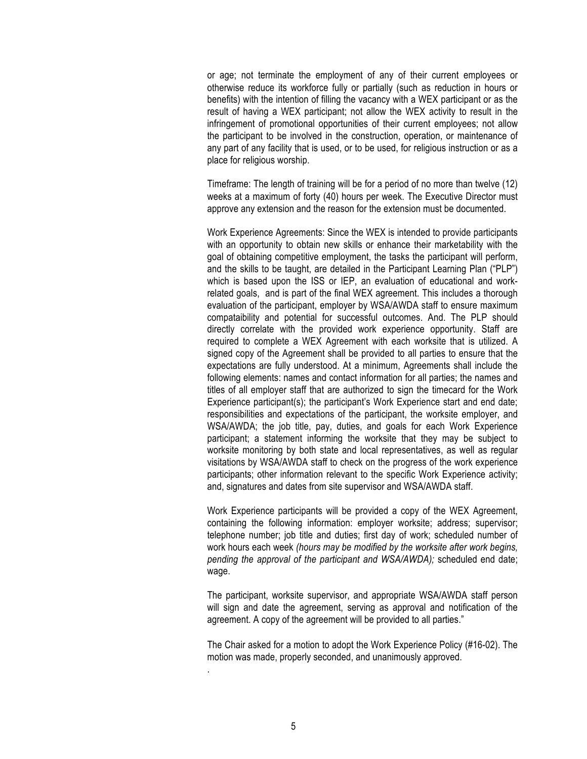or age; not terminate the employment of any of their current employees or otherwise reduce its workforce fully or partially (such as reduction in hours or benefits) with the intention of filling the vacancy with a WEX participant or as the result of having a WEX participant; not allow the WEX activity to result in the infringement of promotional opportunities of their current employees; not allow the participant to be involved in the construction, operation, or maintenance of any part of any facility that is used, or to be used, for religious instruction or as a place for religious worship.

Timeframe: The length of training will be for a period of no more than twelve (12) weeks at a maximum of forty (40) hours per week. The Executive Director must approve any extension and the reason for the extension must be documented.

Work Experience Agreements: Since the WEX is intended to provide participants with an opportunity to obtain new skills or enhance their marketability with the goal of obtaining competitive employment, the tasks the participant will perform, and the skills to be taught, are detailed in the Participant Learning Plan ("PLP") which is based upon the ISS or IEP, an evaluation of educational and workrelated goals, and is part of the final WEX agreement. This includes a thorough evaluation of the participant, employer by WSA/AWDA staff to ensure maximum compataibility and potential for successful outcomes. And. The PLP should directly correlate with the provided work experience opportunity. Staff are required to complete a WEX Agreement with each worksite that is utilized. A signed copy of the Agreement shall be provided to all parties to ensure that the expectations are fully understood. At a minimum, Agreements shall include the following elements: names and contact information for all parties; the names and titles of all employer staff that are authorized to sign the timecard for the Work Experience participant(s); the participant's Work Experience start and end date; responsibilities and expectations of the participant, the worksite employer, and WSA/AWDA; the job title, pay, duties, and goals for each Work Experience participant; a statement informing the worksite that they may be subject to worksite monitoring by both state and local representatives, as well as regular visitations by WSA/AWDA staff to check on the progress of the work experience participants; other information relevant to the specific Work Experience activity; and, signatures and dates from site supervisor and WSA/AWDA staff.

Work Experience participants will be provided a copy of the WEX Agreement, containing the following information: employer worksite; address; supervisor; telephone number; job title and duties; first day of work; scheduled number of work hours each week *(hours may be modified by the worksite after work begins, pending the approval of the participant and WSA/AWDA);* scheduled end date; wage.

The participant, worksite supervisor, and appropriate WSA/AWDA staff person will sign and date the agreement, serving as approval and notification of the agreement. A copy of the agreement will be provided to all parties."

The Chair asked for a motion to adopt the Work Experience Policy (#16-02). The motion was made, properly seconded, and unanimously approved.

.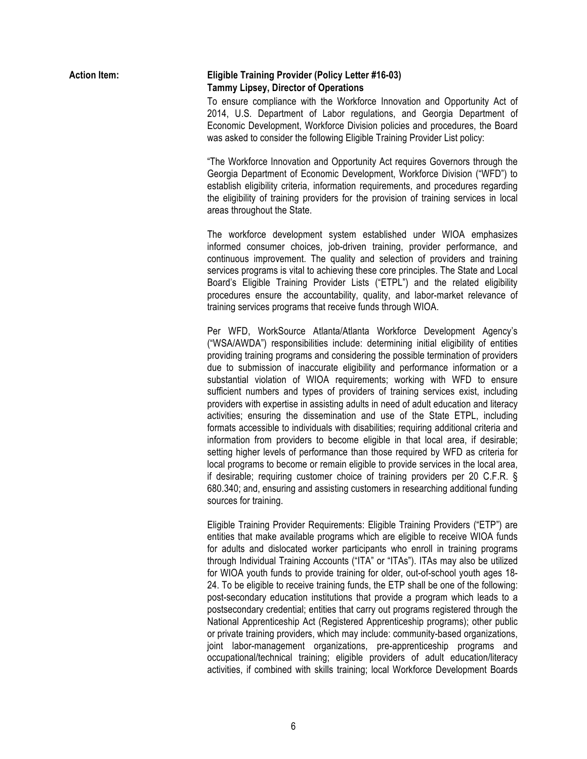| <b>Action Item:</b> | <b>Eligible Training Provider (Policy Letter #16-03)</b><br><b>Tammy Lipsey, Director of Operations</b><br>To ensure compliance with the Workforce Innovation and Opportunity Act of<br>2014, U.S. Department of Labor regulations, and Georgia Department of<br>Economic Development, Workforce Division policies and procedures, the Board<br>was asked to consider the following Eligible Training Provider List policy:                                                                                                                                                                                                                                                                                                                                                                                                                                                                                                                                                                                                                                                                                                                                                                                           |
|---------------------|-----------------------------------------------------------------------------------------------------------------------------------------------------------------------------------------------------------------------------------------------------------------------------------------------------------------------------------------------------------------------------------------------------------------------------------------------------------------------------------------------------------------------------------------------------------------------------------------------------------------------------------------------------------------------------------------------------------------------------------------------------------------------------------------------------------------------------------------------------------------------------------------------------------------------------------------------------------------------------------------------------------------------------------------------------------------------------------------------------------------------------------------------------------------------------------------------------------------------|
|                     | "The Workforce Innovation and Opportunity Act requires Governors through the<br>Georgia Department of Economic Development, Workforce Division ("WFD") to<br>establish eligibility criteria, information requirements, and procedures regarding<br>the eligibility of training providers for the provision of training services in local<br>areas throughout the State.                                                                                                                                                                                                                                                                                                                                                                                                                                                                                                                                                                                                                                                                                                                                                                                                                                               |
|                     | The workforce development system established under WIOA emphasizes<br>informed consumer choices, job-driven training, provider performance, and<br>continuous improvement. The quality and selection of providers and training<br>services programs is vital to achieving these core principles. The State and Local<br>Board's Eligible Training Provider Lists ("ETPL") and the related eligibility<br>procedures ensure the accountability, quality, and labor-market relevance of<br>training services programs that receive funds through WIOA.                                                                                                                                                                                                                                                                                                                                                                                                                                                                                                                                                                                                                                                                  |
|                     | Per WFD, WorkSource Atlanta/Atlanta Workforce Development Agency's<br>("WSA/AWDA") responsibilities include: determining initial eligibility of entities<br>providing training programs and considering the possible termination of providers<br>due to submission of inaccurate eligibility and performance information or a<br>substantial violation of WIOA requirements; working with WFD to ensure<br>sufficient numbers and types of providers of training services exist, including<br>providers with expertise in assisting adults in need of adult education and literacy<br>activities; ensuring the dissemination and use of the State ETPL, including<br>formats accessible to individuals with disabilities; requiring additional criteria and<br>information from providers to become eligible in that local area, if desirable;<br>setting higher levels of performance than those required by WFD as criteria for<br>local programs to become or remain eligible to provide services in the local area,<br>if desirable; requiring customer choice of training providers per 20 C.F.R. §<br>680.340; and, ensuring and assisting customers in researching additional funding<br>sources for training. |

Eligible Training Provider Requirements: Eligible Training Providers ("ETP") are entities that make available programs which are eligible to receive WIOA funds for adults and dislocated worker participants who enroll in training programs through Individual Training Accounts ("ITA" or "ITAs"). ITAs may also be utilized for WIOA youth funds to provide training for older, out-of-school youth ages 18- 24. To be eligible to receive training funds, the ETP shall be one of the following: post-secondary education institutions that provide a program which leads to a postsecondary credential; entities that carry out programs registered through the National Apprenticeship Act (Registered Apprenticeship programs); other public or private training providers, which may include: community-based organizations, joint labor-management organizations, pre-apprenticeship programs and occupational/technical training; eligible providers of adult education/literacy activities, if combined with skills training; local Workforce Development Boards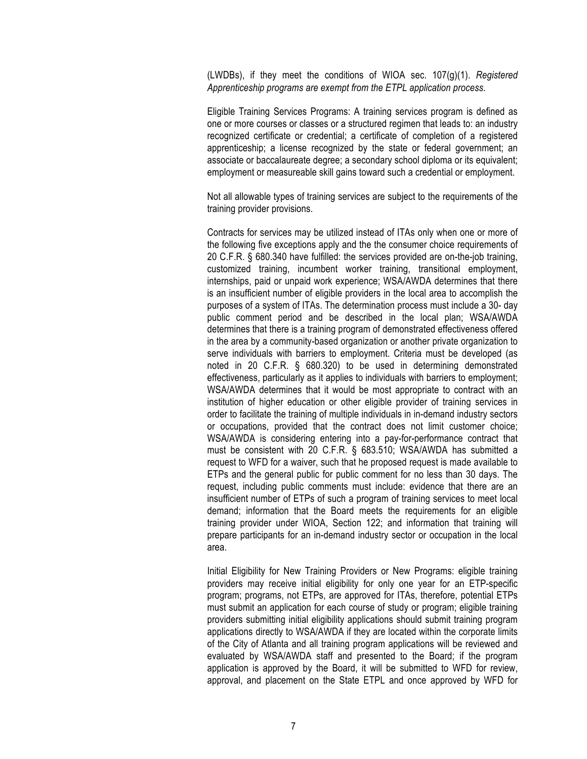(LWDBs), if they meet the conditions of WIOA sec. 107(g)(1). *Registered Apprenticeship programs are exempt from the ETPL application process.*

Eligible Training Services Programs: A training services program is defined as one or more courses or classes or a structured regimen that leads to: an industry recognized certificate or credential; a certificate of completion of a registered apprenticeship; a license recognized by the state or federal government; an associate or baccalaureate degree; a secondary school diploma or its equivalent; employment or measureable skill gains toward such a credential or employment.

Not all allowable types of training services are subject to the requirements of the training provider provisions.

Contracts for services may be utilized instead of ITAs only when one or more of the following five exceptions apply and the the consumer choice requirements of 20 C.F.R. § 680.340 have fulfilled: the services provided are on-the-job training, customized training, incumbent worker training, transitional employment, internships, paid or unpaid work experience; WSA/AWDA determines that there is an insufficient number of eligible providers in the local area to accomplish the purposes of a system of ITAs. The determination process must include a 30- day public comment period and be described in the local plan; WSA/AWDA determines that there is a training program of demonstrated effectiveness offered in the area by a community-based organization or another private organization to serve individuals with barriers to employment. Criteria must be developed (as noted in 20 C.F.R. § 680.320) to be used in determining demonstrated effectiveness, particularly as it applies to individuals with barriers to employment; WSA/AWDA determines that it would be most appropriate to contract with an institution of higher education or other eligible provider of training services in order to facilitate the training of multiple individuals in in-demand industry sectors or occupations, provided that the contract does not limit customer choice; WSA/AWDA is considering entering into a pay-for-performance contract that must be consistent with 20 C.F.R. § 683.510; WSA/AWDA has submitted a request to WFD for a waiver, such that he proposed request is made available to ETPs and the general public for public comment for no less than 30 days. The request, including public comments must include: evidence that there are an insufficient number of ETPs of such a program of training services to meet local demand; information that the Board meets the requirements for an eligible training provider under WIOA, Section 122; and information that training will prepare participants for an in-demand industry sector or occupation in the local area.

Initial Eligibility for New Training Providers or New Programs: eligible training providers may receive initial eligibility for only one year for an ETP-specific program; programs, not ETPs, are approved for ITAs, therefore, potential ETPs must submit an application for each course of study or program; eligible training providers submitting initial eligibility applications should submit training program applications directly to WSA/AWDA if they are located within the corporate limits of the City of Atlanta and all training program applications will be reviewed and evaluated by WSA/AWDA staff and presented to the Board; if the program application is approved by the Board, it will be submitted to WFD for review, approval, and placement on the State ETPL and once approved by WFD for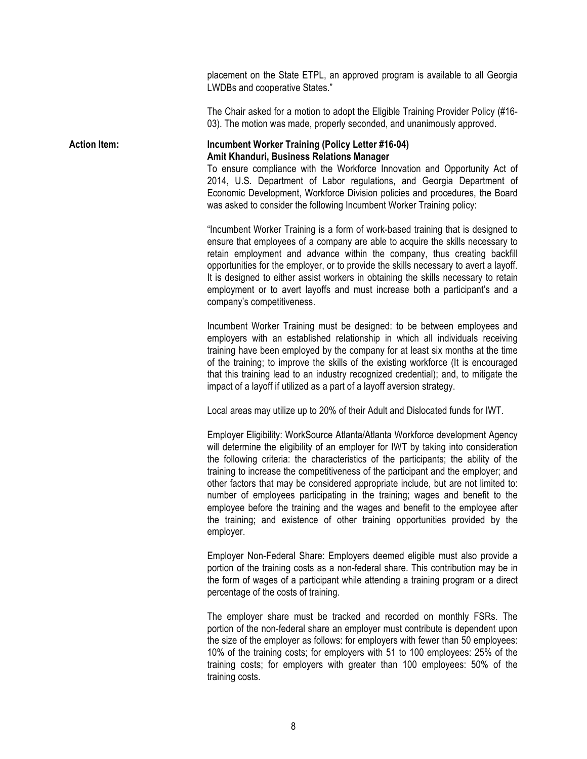placement on the State ETPL, an approved program is available to all Georgia LWDBs and cooperative States."

The Chair asked for a motion to adopt the Eligible Training Provider Policy (#16- 03). The motion was made, properly seconded, and unanimously approved.

### **Action Item: Incumbent Worker Training (Policy Letter #16-04) Amit Khanduri, Business Relations Manager**

To ensure compliance with the Workforce Innovation and Opportunity Act of 2014, U.S. Department of Labor regulations, and Georgia Department of Economic Development, Workforce Division policies and procedures, the Board was asked to consider the following Incumbent Worker Training policy:

"Incumbent Worker Training is a form of work-based training that is designed to ensure that employees of a company are able to acquire the skills necessary to retain employment and advance within the company, thus creating backfill opportunities for the employer, or to provide the skills necessary to avert a layoff. It is designed to either assist workers in obtaining the skills necessary to retain employment or to avert layoffs and must increase both a participant's and a company's competitiveness.

Incumbent Worker Training must be designed: to be between employees and employers with an established relationship in which all individuals receiving training have been employed by the company for at least six months at the time of the training; to improve the skills of the existing workforce (It is encouraged that this training lead to an industry recognized credential); and, to mitigate the impact of a layoff if utilized as a part of a layoff aversion strategy.

Local areas may utilize up to 20% of their Adult and Dislocated funds for IWT.

Employer Eligibility: WorkSource Atlanta/Atlanta Workforce development Agency will determine the eligibility of an employer for IWT by taking into consideration the following criteria: the characteristics of the participants; the ability of the training to increase the competitiveness of the participant and the employer; and other factors that may be considered appropriate include, but are not limited to: number of employees participating in the training; wages and benefit to the employee before the training and the wages and benefit to the employee after the training; and existence of other training opportunities provided by the employer.

Employer Non-Federal Share: Employers deemed eligible must also provide a portion of the training costs as a non-federal share. This contribution may be in the form of wages of a participant while attending a training program or a direct percentage of the costs of training.

The employer share must be tracked and recorded on monthly FSRs. The portion of the non-federal share an employer must contribute is dependent upon the size of the employer as follows: for employers with fewer than 50 employees: 10% of the training costs; for employers with 51 to 100 employees: 25% of the training costs; for employers with greater than 100 employees: 50% of the training costs.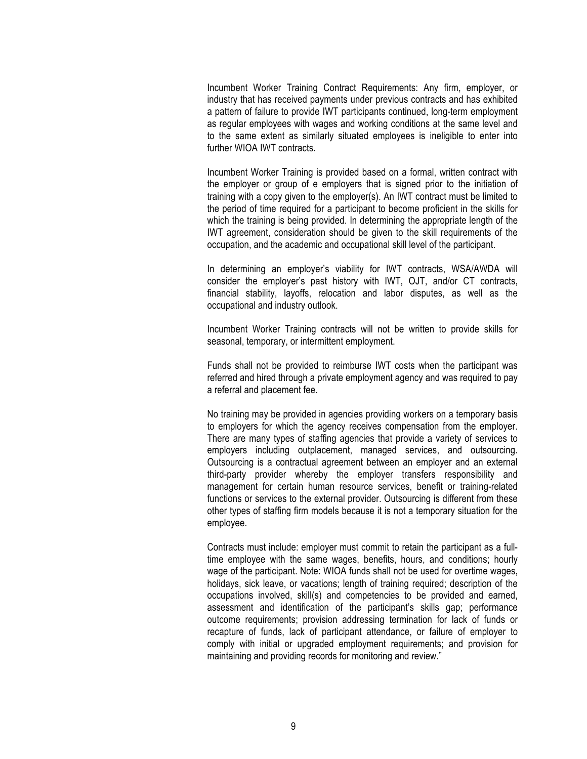Incumbent Worker Training Contract Requirements: Any firm, employer, or industry that has received payments under previous contracts and has exhibited a pattern of failure to provide IWT participants continued, long-term employment as regular employees with wages and working conditions at the same level and to the same extent as similarly situated employees is ineligible to enter into further WIOA IWT contracts.

Incumbent Worker Training is provided based on a formal, written contract with the employer or group of e employers that is signed prior to the initiation of training with a copy given to the employer(s). An IWT contract must be limited to the period of time required for a participant to become proficient in the skills for which the training is being provided. In determining the appropriate length of the IWT agreement, consideration should be given to the skill requirements of the occupation, and the academic and occupational skill level of the participant.

In determining an employer's viability for IWT contracts, WSA/AWDA will consider the employer's past history with IWT, OJT, and/or CT contracts, financial stability, layoffs, relocation and labor disputes, as well as the occupational and industry outlook.

Incumbent Worker Training contracts will not be written to provide skills for seasonal, temporary, or intermittent employment.

Funds shall not be provided to reimburse IWT costs when the participant was referred and hired through a private employment agency and was required to pay a referral and placement fee.

No training may be provided in agencies providing workers on a temporary basis to employers for which the agency receives compensation from the employer. There are many types of staffing agencies that provide a variety of services to employers including outplacement, managed services, and outsourcing. Outsourcing is a contractual agreement between an employer and an external third-party provider whereby the employer transfers responsibility and management for certain human resource services, benefit or training-related functions or services to the external provider. Outsourcing is different from these other types of staffing firm models because it is not a temporary situation for the employee.

Contracts must include: employer must commit to retain the participant as a fulltime employee with the same wages, benefits, hours, and conditions; hourly wage of the participant. Note: WIOA funds shall not be used for overtime wages, holidays, sick leave, or vacations; length of training required; description of the occupations involved, skill(s) and competencies to be provided and earned, assessment and identification of the participant's skills gap; performance outcome requirements; provision addressing termination for lack of funds or recapture of funds, lack of participant attendance, or failure of employer to comply with initial or upgraded employment requirements; and provision for maintaining and providing records for monitoring and review."